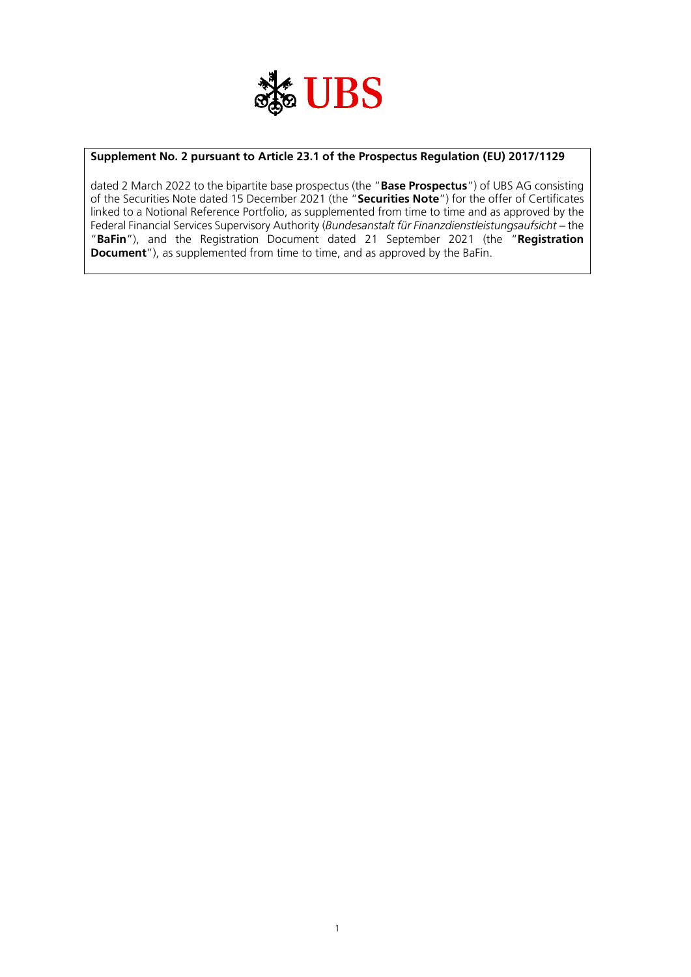

### **Supplement No. 2 pursuant to Article 23.1 of the Prospectus Regulation (EU) 2017/1129**

dated 2 March 2022 to the bipartite base prospectus (the "**Base Prospectus**") of UBS AG consisting of the Securities Note dated 15 December 2021 (the "**Securities Note**") for the offer of Certificates linked to a Notional Reference Portfolio, as supplemented from time to time and as approved by the Federal Financial Services Supervisory Authority (*Bundesanstalt für Finanzdienstleistungsaufsicht* – the "**BaFin**"), and the Registration Document dated 21 September 2021 (the "**Registration Document**"), as supplemented from time to time, and as approved by the BaFin.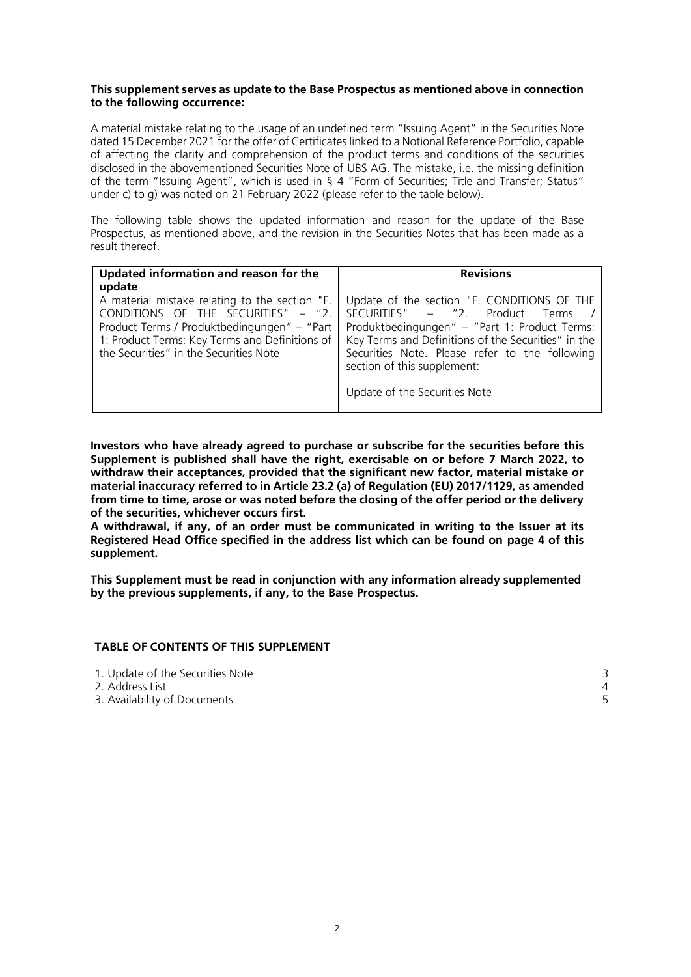#### **This supplement serves as update to the Base Prospectus as mentioned above in connection to the following occurrence:**

A material mistake relating to the usage of an undefined term "Issuing Agent" in the Securities Note dated 15 December 2021 for the offer of Certificates linked to a Notional Reference Portfolio, capable of affecting the clarity and comprehension of the product terms and conditions of the securities disclosed in the abovementioned Securities Note of UBS AG. The mistake, i.e. the missing definition of the term "Issuing Agent", which is used in § 4 "Form of Securities; Title and Transfer; Status" under c) to g) was noted on 21 February 2022 (please refer to the table below).

The following table shows the updated information and reason for the update of the Base Prospectus, as mentioned above, and the revision in the Securities Notes that has been made as a result thereof.

| Updated information and reason for the                                                                                                                                                                                           | <b>Revisions</b>                                                                                                                                                                                                                                                                                           |
|----------------------------------------------------------------------------------------------------------------------------------------------------------------------------------------------------------------------------------|------------------------------------------------------------------------------------------------------------------------------------------------------------------------------------------------------------------------------------------------------------------------------------------------------------|
| update                                                                                                                                                                                                                           |                                                                                                                                                                                                                                                                                                            |
| A material mistake relating to the section "F.<br>CONDITIONS OF THE SECURITIES" - "2.<br>Product Terms / Produktbedingungen" – "Part<br>1: Product Terms: Key Terms and Definitions of<br>the Securities" in the Securities Note | Update of the section "F. CONDITIONS OF THE<br>SECURITIES" – "2. Product Terms /<br>Produktbedingungen" – "Part 1: Product Terms:<br>Key Terms and Definitions of the Securities" in the<br>Securities Note. Please refer to the following<br>section of this supplement:<br>Update of the Securities Note |

**Investors who have already agreed to purchase or subscribe for the securities before this Supplement is published shall have the right, exercisable on or before 7 March 2022, to withdraw their acceptances, provided that the significant new factor, material mistake or material inaccuracy referred to in Article 23.2 (a) of Regulation (EU) 2017/1129, as amended from time to time, arose or was noted before the closing of the offer period or the delivery of the securities, whichever occurs first.**

**A withdrawal, if any, of an order must be communicated in writing to the Issuer at its Registered Head Office specified in the address list which can be found on page 4 of this supplement.**

**This Supplement must be read in conjunction with any information already supplemented by the previous supplements, if any, to the Base Prospectus.**

#### **TABLE OF CONTENTS OF THIS SUPPLEMENT**

| 1. Update of the Securities Note |  |
|----------------------------------|--|
| -2. Address List                 |  |
| 3. Availability of Documents     |  |
|                                  |  |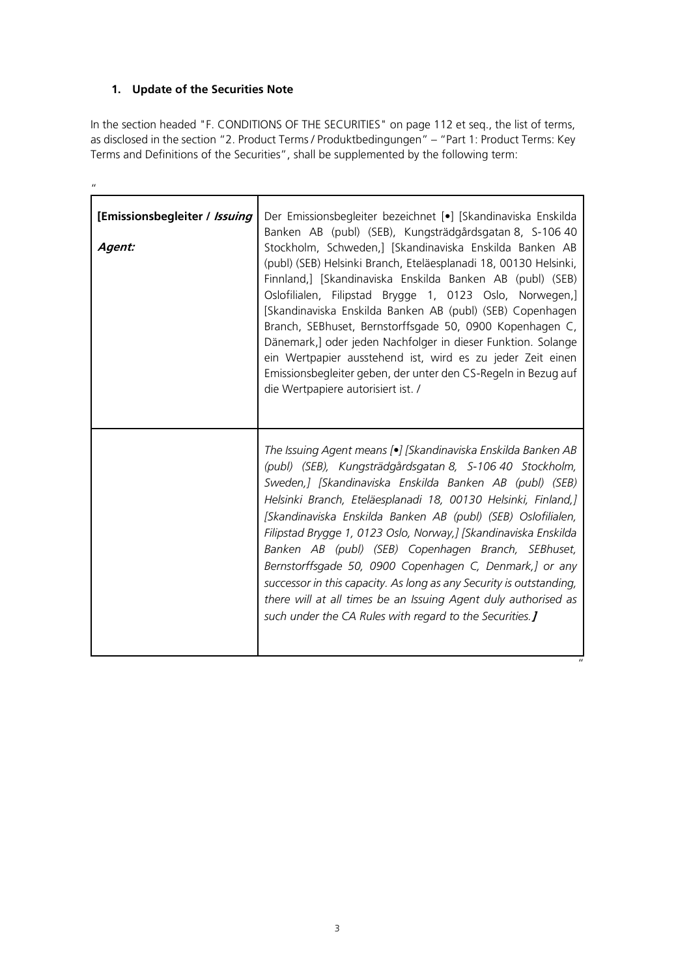# **1. Update of the Securities Note**

 $\boldsymbol{u}$ 

In the section headed "F. CONDITIONS OF THE SECURITIES" on page 112 et seq., the list of terms, as disclosed in the section "2. Product Terms / Produktbedingungen" – "Part 1: Product Terms: Key Terms and Definitions of the Securities", shall be supplemented by the following term:

| [Emissionsbegleiter / Issuing<br>Agent: | Der Emissionsbegleiter bezeichnet [•] [Skandinaviska Enskilda<br>Banken AB (publ) (SEB), Kungsträdgårdsgatan 8, S-106 40<br>Stockholm, Schweden,] [Skandinaviska Enskilda Banken AB<br>(publ) (SEB) Helsinki Branch, Eteläesplanadi 18, 00130 Helsinki,<br>Finnland,] [Skandinaviska Enskilda Banken AB (publ) (SEB)<br>Oslofilialen, Filipstad Brygge 1, 0123 Oslo, Norwegen,]<br>[Skandinaviska Enskilda Banken AB (publ) (SEB) Copenhagen<br>Branch, SEBhuset, Bernstorffsgade 50, 0900 Kopenhagen C,<br>Dänemark,] oder jeden Nachfolger in dieser Funktion. Solange<br>ein Wertpapier ausstehend ist, wird es zu jeder Zeit einen<br>Emissionsbegleiter geben, der unter den CS-Regeln in Bezug auf<br>die Wertpapiere autorisiert ist. / |
|-----------------------------------------|------------------------------------------------------------------------------------------------------------------------------------------------------------------------------------------------------------------------------------------------------------------------------------------------------------------------------------------------------------------------------------------------------------------------------------------------------------------------------------------------------------------------------------------------------------------------------------------------------------------------------------------------------------------------------------------------------------------------------------------------|
|                                         | The Issuing Agent means [•] [Skandinaviska Enskilda Banken AB<br>(publ) (SEB), Kungsträdgårdsgatan 8, S-106 40 Stockholm,<br>Sweden,] [Skandinaviska Enskilda Banken AB (publ) (SEB)<br>Helsinki Branch, Eteläesplanadi 18, 00130 Helsinki, Finland,]<br>[Skandinaviska Enskilda Banken AB (publ) (SEB) Oslofilialen,<br>Filipstad Brygge 1, 0123 Oslo, Norway, J [Skandinaviska Enskilda<br>Banken AB (publ) (SEB) Copenhagen Branch, SEBhuset,<br>Bernstorffsgade 50, 0900 Copenhagen C, Denmark,] or any<br>successor in this capacity. As long as any Security is outstanding,<br>there will at all times be an Issuing Agent duly authorised as<br>such under the CA Rules with regard to the Securities. J                               |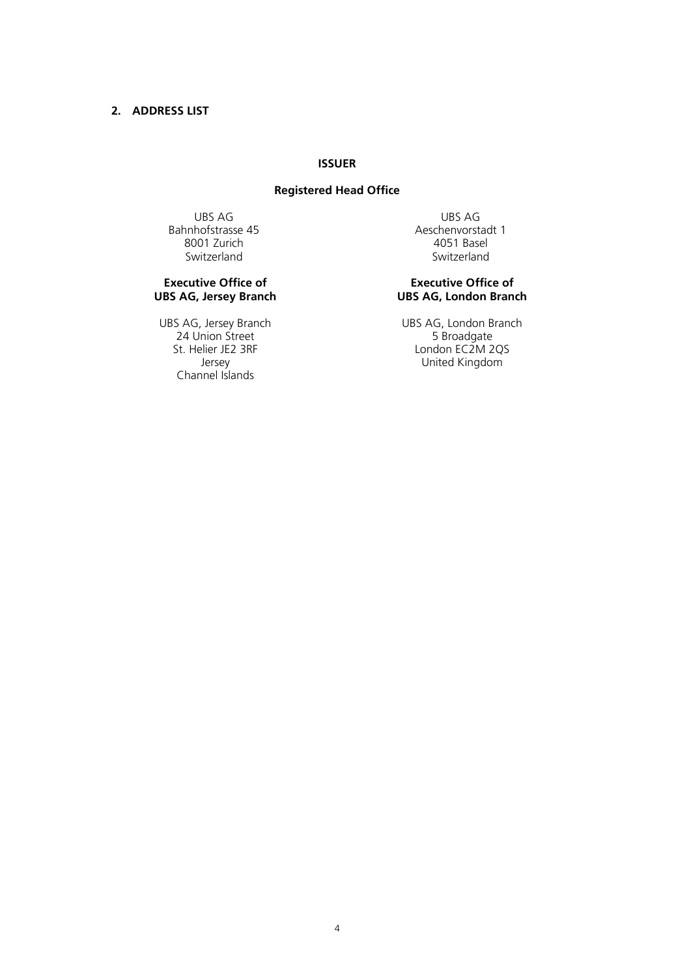## **2. ADDRESS LIST**

### **ISSUER**

### **Registered Head Office**

Bahnhofstrasse 45 Aeschenvorstadt 15<br>8001 Zurich 1980 Aeschenvorstadt 1990 8001 Zurich Switzerland Switzerland

### **Executive Office of UBS AG, Jersey Branch**

24 Union Street<br>St. Helier JE2 3RF Channel Islands

UBS AG UBS AG

### **Executive Office of UBS AG, London Branch**

UBS AG, Jersey Branch<br>
24 Union Street 5 Broadgate<br>
5 Broadgate St. Helier JE2 3RF London EC2M 2QS United Kingdom